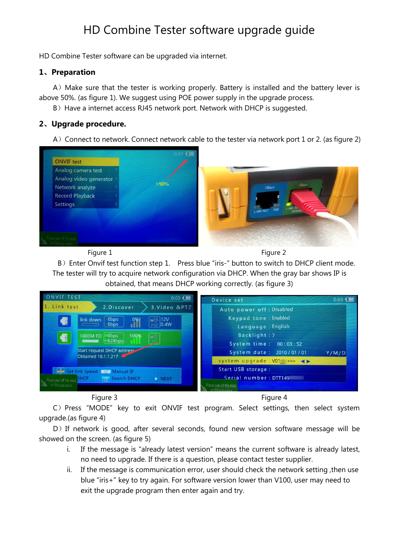# HD Combine Tester software upgrade guide

HD Combine Tester software can be upgraded via internet.

#### **1**、**Preparation**

A) Make sure that the tester is working properly. Battery is installed and the battery lever is above 50%. (as figure 1). We suggest using POE power supply in the upgrade process.

B) Have a internet access RJ45 network port. Network with DHCP is suggested.

### **2**、**Upgrade procedure.**

A) Connect to network. Connect network cable to the tester via network port 1 or 2. (as figure 2)



Figure 1 Figure 2

B) Enter Onvif test function step 1. Press blue "iris-" button to switch to DHCP client mode. The tester will try to acquire network configuration via DHCP. When the gray bar shows IP is obtained, that means DHCP working correctly. (as figure 3)





C) Press "MODE" key to exit ONVIF test program. Select settings, then select system upgrade.(as figure 4)

D) If network is good, after several seconds, found new version software message will be showed on the screen. (as figure 5)

- i. If the message is "already latest version" means the current software is already latest, no need to upgrade. If there is a question, please contact tester supplier.
- ii. If the message is communication error, user should check the network setting ,then use blue "iris+" key to try again. For software version lower than V100, user may need to exit the upgrade program then enter again and try.